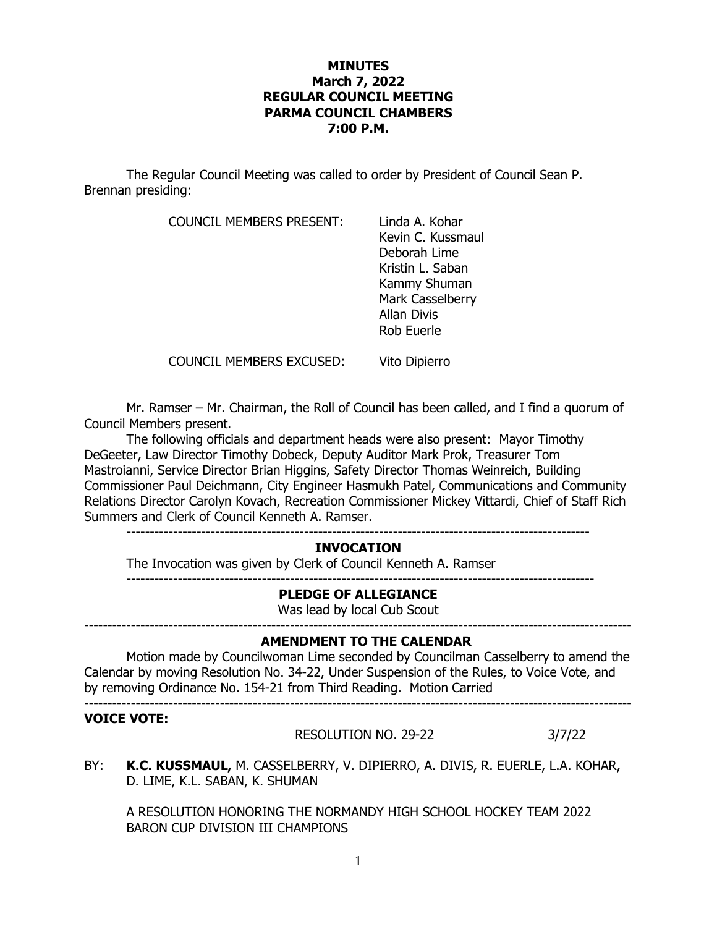## **MINUTES March 7, 2022 REGULAR COUNCIL MEETING PARMA COUNCIL CHAMBERS 7:00 P.M.**

The Regular Council Meeting was called to order by President of Council Sean P. Brennan presiding:

COUNCIL MEMBERS PRESENT: Linda A. Kohar

Kevin C. Kussmaul Deborah Lime Kristin L. Saban Kammy Shuman Mark Casselberry Allan Divis Rob Euerle

COUNCIL MEMBERS EXCUSED: Vito Dipierro

Mr. Ramser – Mr. Chairman, the Roll of Council has been called, and I find a quorum of Council Members present.

The following officials and department heads were also present: Mayor Timothy DeGeeter, Law Director Timothy Dobeck, Deputy Auditor Mark Prok, Treasurer Tom Mastroianni, Service Director Brian Higgins, Safety Director Thomas Weinreich, Building Commissioner Paul Deichmann, City Engineer Hasmukh Patel, Communications and Community Relations Director Carolyn Kovach, Recreation Commissioner Mickey Vittardi, Chief of Staff Rich Summers and Clerk of Council Kenneth A. Ramser.

---------------------------------------------------------------------------------------------------

# **INVOCATION**

The Invocation was given by Clerk of Council Kenneth A. Ramser

----------------------------------------------------------------------------------------------------

# **PLEDGE OF ALLEGIANCE**

Was lead by local Cub Scout

---------------------------------------------------------------------------------------------------------------------

# **AMENDMENT TO THE CALENDAR**

Motion made by Councilwoman Lime seconded by Councilman Casselberry to amend the Calendar by moving Resolution No. 34-22, Under Suspension of the Rules, to Voice Vote, and by removing Ordinance No. 154-21 from Third Reading. Motion Carried ---------------------------------------------------------------------------------------------------------------------

#### **VOICE VOTE:**

RESOLUTION NO. 29-22 3/7/22

BY: **K.C. KUSSMAUL,** M. CASSELBERRY, V. DIPIERRO, A. DIVIS, R. EUERLE, L.A. KOHAR, D. LIME, K.L. SABAN, K. SHUMAN

A RESOLUTION HONORING THE NORMANDY HIGH SCHOOL HOCKEY TEAM 2022 BARON CUP DIVISION III CHAMPIONS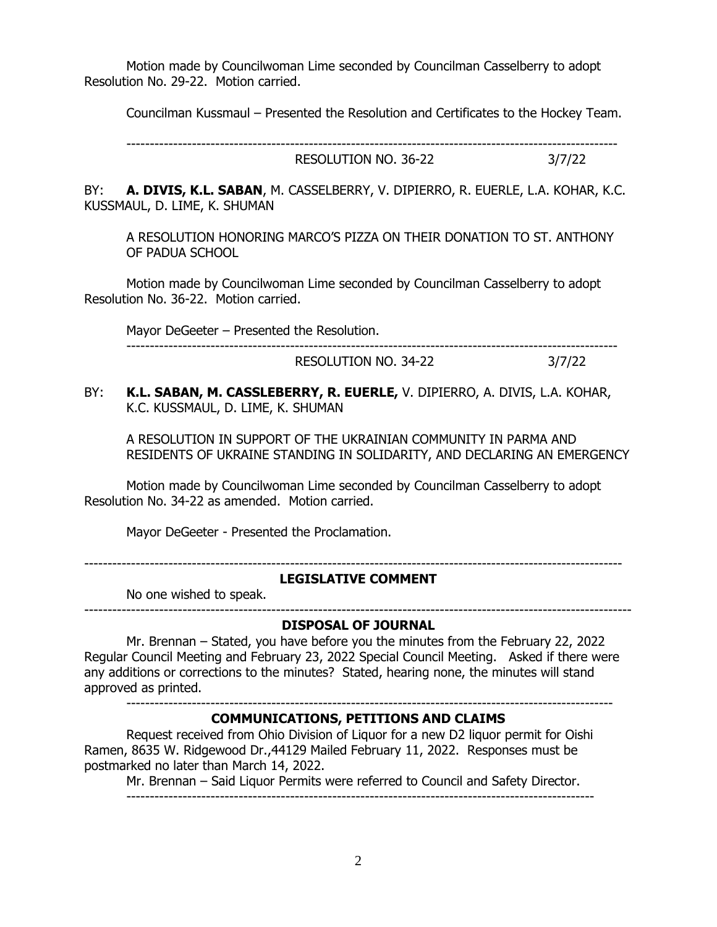Motion made by Councilwoman Lime seconded by Councilman Casselberry to adopt Resolution No. 29-22. Motion carried.

Councilman Kussmaul – Presented the Resolution and Certificates to the Hockey Team.

---------------------------------------------------------------------------------------------------------

RESOLUTION NO. 36-22 3/7/22

BY: **A. DIVIS, K.L. SABAN**, M. CASSELBERRY, V. DIPIERRO, R. EUERLE, L.A. KOHAR, K.C. KUSSMAUL, D. LIME, K. SHUMAN

A RESOLUTION HONORING MARCO'S PIZZA ON THEIR DONATION TO ST. ANTHONY OF PADUA SCHOOL

Motion made by Councilwoman Lime seconded by Councilman Casselberry to adopt Resolution No. 36-22. Motion carried.

Mayor DeGeeter – Presented the Resolution.

RESOLUTION NO. 34-22 3/7/22

---------------------------------------------------------------------------------------------------------

BY: **K.L. SABAN, M. CASSLEBERRY, R. EUERLE,** V. DIPIERRO, A. DIVIS, L.A. KOHAR, K.C. KUSSMAUL, D. LIME, K. SHUMAN

A RESOLUTION IN SUPPORT OF THE UKRAINIAN COMMUNITY IN PARMA AND RESIDENTS OF UKRAINE STANDING IN SOLIDARITY, AND DECLARING AN EMERGENCY

Motion made by Councilwoman Lime seconded by Councilman Casselberry to adopt Resolution No. 34-22 as amended. Motion carried.

Mayor DeGeeter - Presented the Proclamation.

-------------------------------------------------------------------------------------------------------------------

## **LEGISLATIVE COMMENT**

No one wished to speak.

#### --------------------------------------------------------------------------------------------------------------------- **DISPOSAL OF JOURNAL**

Mr. Brennan – Stated, you have before you the minutes from the February 22, 2022 Regular Council Meeting and February 23, 2022 Special Council Meeting. Asked if there were any additions or corrections to the minutes? Stated, hearing none, the minutes will stand approved as printed.

--------------------------------------------------------------------------------------------------------

# **COMMUNICATIONS, PETITIONS AND CLAIMS**

Request received from Ohio Division of Liquor for a new D2 liquor permit for Oishi Ramen, 8635 W. Ridgewood Dr.,44129 Mailed February 11, 2022. Responses must be postmarked no later than March 14, 2022.

Mr. Brennan – Said Liquor Permits were referred to Council and Safety Director.

----------------------------------------------------------------------------------------------------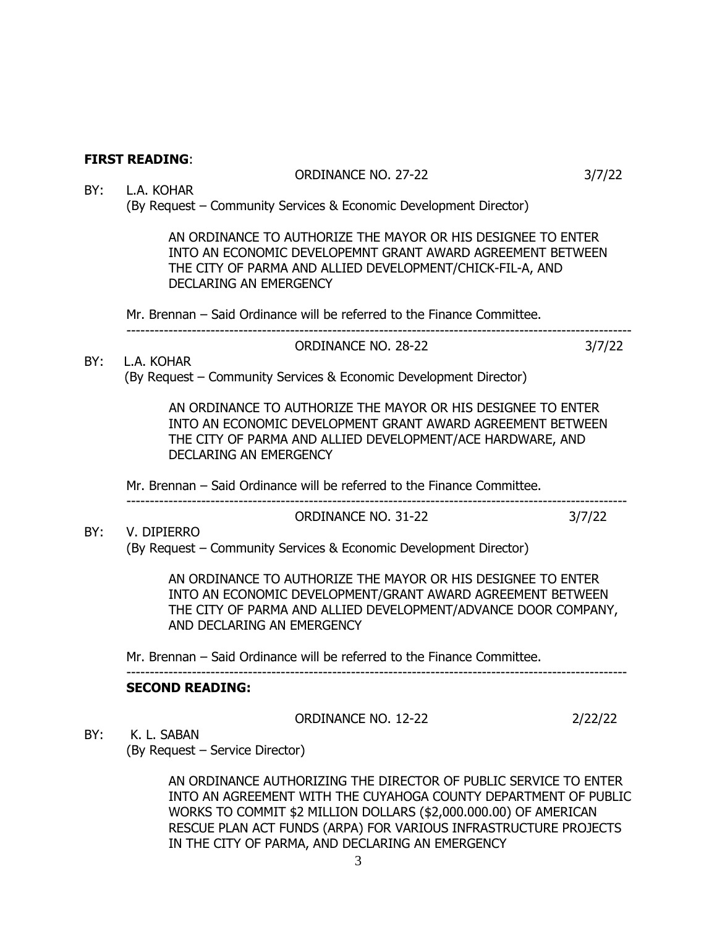# **FIRST READING**:

### ORDINANCE NO. 27-22 3/7/22

#### BY: L.A. KOHAR (By Request – Community Services & Economic Development Director)

AN ORDINANCE TO AUTHORIZE THE MAYOR OR HIS DESIGNEE TO ENTER INTO AN ECONOMIC DEVELOPEMNT GRANT AWARD AGREEMENT BETWEEN THE CITY OF PARMA AND ALLIED DEVELOPMENT/CHICK-FIL-A, AND DECLARING AN EMERGENCY

Mr. Brennan – Said Ordinance will be referred to the Finance Committee.

# ORDINANCE NO. 28-22 3/7/22

------------------------------------------------------------------------------------------------------------

# BY: L.A. KOHAR (By Request – Community Services & Economic Development Director)

 AN ORDINANCE TO AUTHORIZE THE MAYOR OR HIS DESIGNEE TO ENTER INTO AN ECONOMIC DEVELOPMENT GRANT AWARD AGREEMENT BETWEEN THE CITY OF PARMA AND ALLIED DEVELOPMENT/ACE HARDWARE, AND DECLARING AN EMERGENCY

-----------------------------------------------------------------------------------------------------------

Mr. Brennan – Said Ordinance will be referred to the Finance Committee.

### ORDINANCE NO. 31-22 3/7/22

BY: V. DIPIERRO (By Request – Community Services & Economic Development Director)

> AN ORDINANCE TO AUTHORIZE THE MAYOR OR HIS DESIGNEE TO ENTER INTO AN ECONOMIC DEVELOPMENT/GRANT AWARD AGREEMENT BETWEEN THE CITY OF PARMA AND ALLIED DEVELOPMENT/ADVANCE DOOR COMPANY, AND DECLARING AN EMERGENCY

Mr. Brennan – Said Ordinance will be referred to the Finance Committee.

#### ----------------------------------------------------------------------------------------------------------- **SECOND READING:**

#### ORDINANCE NO. 12-22 2/22/22

BY: K. L. SABAN

(By Request – Service Director)

AN ORDINANCE AUTHORIZING THE DIRECTOR OF PUBLIC SERVICE TO ENTER INTO AN AGREEMENT WITH THE CUYAHOGA COUNTY DEPARTMENT OF PUBLIC WORKS TO COMMIT \$2 MILLION DOLLARS (\$2,000.000.00) OF AMERICAN RESCUE PLAN ACT FUNDS (ARPA) FOR VARIOUS INFRASTRUCTURE PROJECTS IN THE CITY OF PARMA, AND DECLARING AN EMERGENCY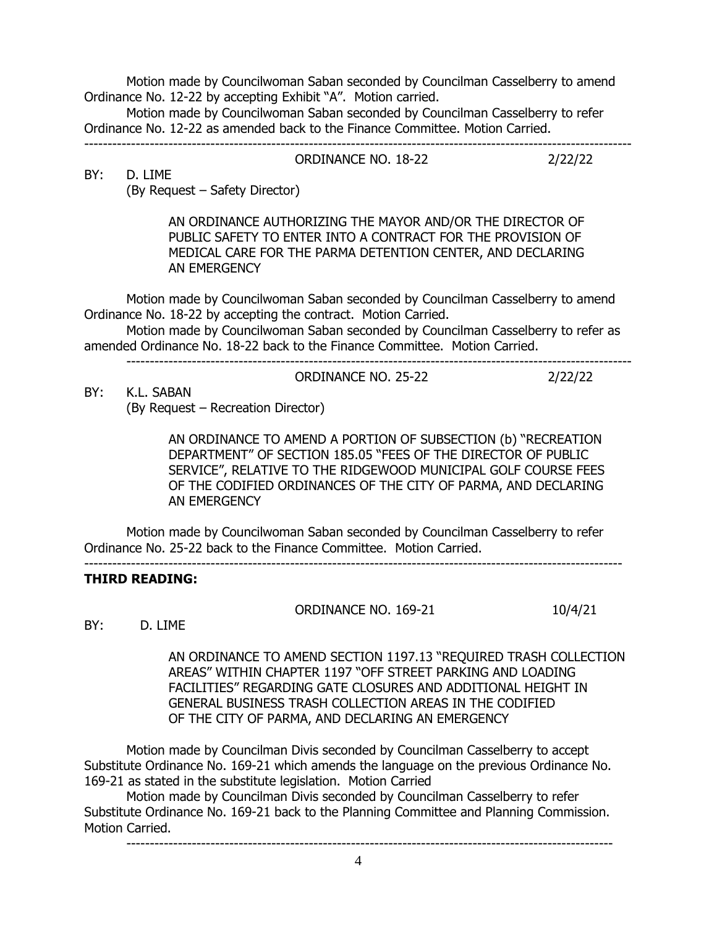Motion made by Councilwoman Saban seconded by Councilman Casselberry to amend Ordinance No. 12-22 by accepting Exhibit "A". Motion carried.

Motion made by Councilwoman Saban seconded by Councilman Casselberry to refer Ordinance No. 12-22 as amended back to the Finance Committee. Motion Carried. ---------------------------------------------------------------------------------------------------------------------

ORDINANCE NO. 18-22 2/22/22

BY: D. LIME

(By Request – Safety Director)

AN ORDINANCE AUTHORIZING THE MAYOR AND/OR THE DIRECTOR OF PUBLIC SAFETY TO ENTER INTO A CONTRACT FOR THE PROVISION OF MEDICAL CARE FOR THE PARMA DETENTION CENTER, AND DECLARING AN EMERGENCY

Motion made by Councilwoman Saban seconded by Councilman Casselberry to amend Ordinance No. 18-22 by accepting the contract. Motion Carried.

Motion made by Councilwoman Saban seconded by Councilman Casselberry to refer as amended Ordinance No. 18-22 back to the Finance Committee. Motion Carried.

------------------------------------------------------------------------------------------------------------

BY: K.L. SABAN

(By Request – Recreation Director)

AN ORDINANCE TO AMEND A PORTION OF SUBSECTION (b) "RECREATION DEPARTMENT" OF SECTION 185.05 "FEES OF THE DIRECTOR OF PUBLIC SERVICE", RELATIVE TO THE RIDGEWOOD MUNICIPAL GOLF COURSE FEES OF THE CODIFIED ORDINANCES OF THE CITY OF PARMA, AND DECLARING AN EMERGENCY

Motion made by Councilwoman Saban seconded by Councilman Casselberry to refer Ordinance No. 25-22 back to the Finance Committee. Motion Carried.

-------------------------------------------------------------------------------------------------------------------

# **THIRD READING:**

ORDINANCE NO. 169-21 10/4/21

ORDINANCE NO. 25-22 2/22/22

BY: D. LIME

 AN ORDINANCE TO AMEND SECTION 1197.13 "REQUIRED TRASH COLLECTION AREAS" WITHIN CHAPTER 1197 "OFF STREET PARKING AND LOADING FACILITIES" REGARDING GATE CLOSURES AND ADDITIONAL HEIGHT IN GENERAL BUSINESS TRASH COLLECTION AREAS IN THE CODIFIED OF THE CITY OF PARMA, AND DECLARING AN EMERGENCY

Motion made by Councilman Divis seconded by Councilman Casselberry to accept Substitute Ordinance No. 169-21 which amends the language on the previous Ordinance No. 169-21 as stated in the substitute legislation. Motion Carried

Motion made by Councilman Divis seconded by Councilman Casselberry to refer Substitute Ordinance No. 169-21 back to the Planning Committee and Planning Commission. Motion Carried.

--------------------------------------------------------------------------------------------------------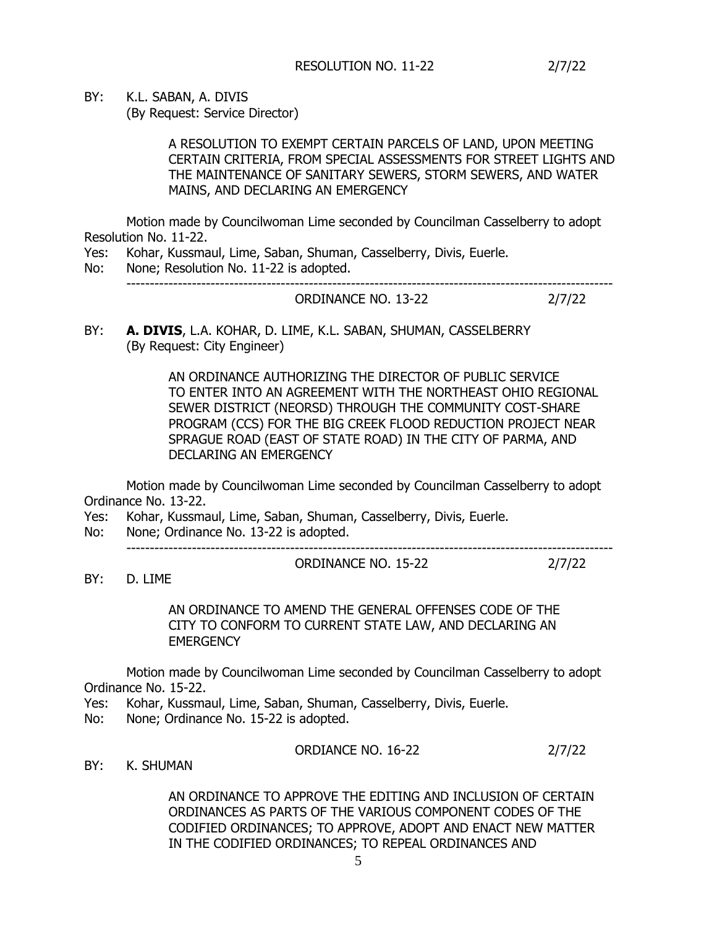BY: K.L. SABAN, A. DIVIS

(By Request: Service Director)

A RESOLUTION TO EXEMPT CERTAIN PARCELS OF LAND, UPON MEETING CERTAIN CRITERIA, FROM SPECIAL ASSESSMENTS FOR STREET LIGHTS AND THE MAINTENANCE OF SANITARY SEWERS, STORM SEWERS, AND WATER MAINS, AND DECLARING AN EMERGENCY

Motion made by Councilwoman Lime seconded by Councilman Casselberry to adopt Resolution No. 11-22.

Yes: Kohar, Kussmaul, Lime, Saban, Shuman, Casselberry, Divis, Euerle.

No: None; Resolution No. 11-22 is adopted. -------------------------------------------------------------------------------------------------------- ORDINANCE NO. 13-22 2/7/22

BY: **A. DIVIS**, L.A. KOHAR, D. LIME, K.L. SABAN, SHUMAN, CASSELBERRY (By Request: City Engineer)

> AN ORDINANCE AUTHORIZING THE DIRECTOR OF PUBLIC SERVICE TO ENTER INTO AN AGREEMENT WITH THE NORTHEAST OHIO REGIONAL SEWER DISTRICT (NEORSD) THROUGH THE COMMUNITY COST-SHARE PROGRAM (CCS) FOR THE BIG CREEK FLOOD REDUCTION PROJECT NEAR SPRAGUE ROAD (EAST OF STATE ROAD) IN THE CITY OF PARMA, AND DECLARING AN EMERGENCY

Motion made by Councilwoman Lime seconded by Councilman Casselberry to adopt Ordinance No. 13-22.

Yes: Kohar, Kussmaul, Lime, Saban, Shuman, Casselberry, Divis, Euerle.

No: None; Ordinance No. 13-22 is adopted.

--------------------------------------------------------------------------------------------------------

ORDINANCE NO. 15-22 2/7/22

BY: D. LIME

AN ORDINANCE TO AMEND THE GENERAL OFFENSES CODE OF THE CITY TO CONFORM TO CURRENT STATE LAW, AND DECLARING AN **EMERGENCY** 

Motion made by Councilwoman Lime seconded by Councilman Casselberry to adopt Ordinance No. 15-22.

Yes: Kohar, Kussmaul, Lime, Saban, Shuman, Casselberry, Divis, Euerle.

No: None; Ordinance No. 15-22 is adopted.

ORDIANCE NO. 16-22 2/7/22

BY: K. SHUMAN

AN ORDINANCE TO APPROVE THE EDITING AND INCLUSION OF CERTAIN ORDINANCES AS PARTS OF THE VARIOUS COMPONENT CODES OF THE CODIFIED ORDINANCES; TO APPROVE, ADOPT AND ENACT NEW MATTER IN THE CODIFIED ORDINANCES; TO REPEAL ORDINANCES AND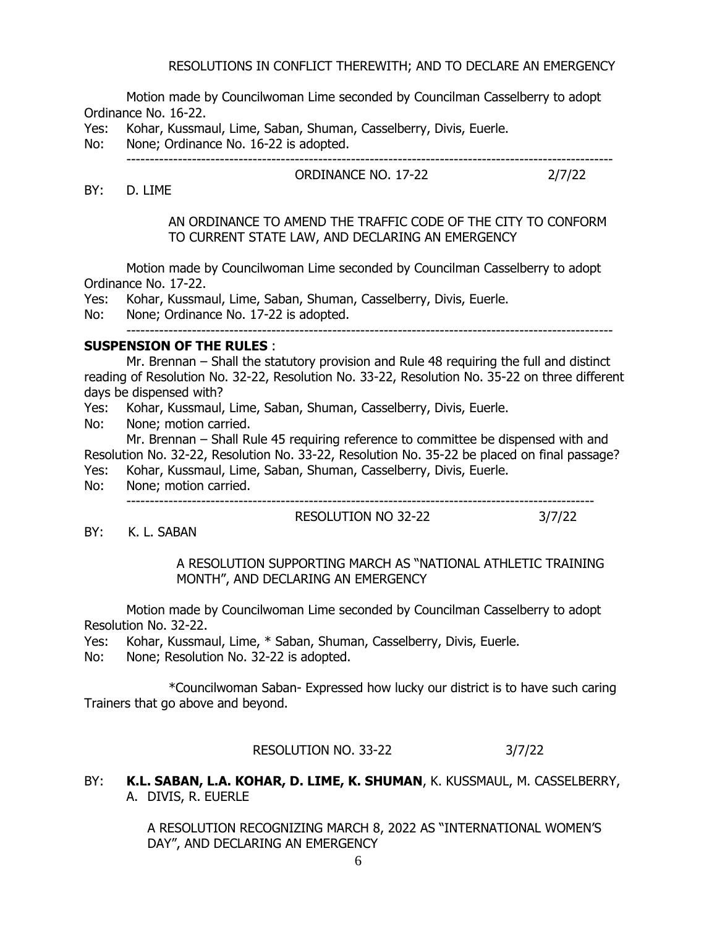### RESOLUTIONS IN CONFLICT THEREWITH; AND TO DECLARE AN EMERGENCY

Motion made by Councilwoman Lime seconded by Councilman Casselberry to adopt Ordinance No. 16-22.

Yes: Kohar, Kussmaul, Lime, Saban, Shuman, Casselberry, Divis, Euerle.

No: None; Ordinance No. 16-22 is adopted.

ORDINANCE NO. 17-22 2/7/22

--------------------------------------------------------------------------------------------------------

BY: D. LIME

### AN ORDINANCE TO AMEND THE TRAFFIC CODE OF THE CITY TO CONFORM TO CURRENT STATE LAW, AND DECLARING AN EMERGENCY

Motion made by Councilwoman Lime seconded by Councilman Casselberry to adopt Ordinance No. 17-22.

Yes: Kohar, Kussmaul, Lime, Saban, Shuman, Casselberry, Divis, Euerle.

No: None; Ordinance No. 17-22 is adopted.

--------------------------------------------------------------------------------------------------------

#### **SUSPENSION OF THE RULES** :

Mr. Brennan – Shall the statutory provision and Rule 48 requiring the full and distinct reading of Resolution No. 32-22, Resolution No. 33-22, Resolution No. 35-22 on three different days be dispensed with?

Yes: Kohar, Kussmaul, Lime, Saban, Shuman, Casselberry, Divis, Euerle.

No: None; motion carried.

Mr. Brennan – Shall Rule 45 requiring reference to committee be dispensed with and Resolution No. 32-22, Resolution No. 33-22, Resolution No. 35-22 be placed on final passage?

- Yes: Kohar, Kussmaul, Lime, Saban, Shuman, Casselberry, Divis, Euerle.
- No: None; motion carried.

----------------------------------------------------------------------------------------------------

BY: K. L. SABAN

### A RESOLUTION SUPPORTING MARCH AS "NATIONAL ATHLETIC TRAINING MONTH", AND DECLARING AN EMERGENCY

RESOLUTION NO 32-22 3/7/22

Motion made by Councilwoman Lime seconded by Councilman Casselberry to adopt Resolution No. 32-22.

Yes: Kohar, Kussmaul, Lime, \* Saban, Shuman, Casselberry, Divis, Euerle.

No: None; Resolution No. 32-22 is adopted.

\*Councilwoman Saban- Expressed how lucky our district is to have such caring Trainers that go above and beyond.

RESOLUTION NO. 33-22 3/7/22

BY: **K.L. SABAN, L.A. KOHAR, D. LIME, K. SHUMAN**, K. KUSSMAUL, M. CASSELBERRY, A. DIVIS, R. EUERLE

> A RESOLUTION RECOGNIZING MARCH 8, 2022 AS "INTERNATIONAL WOMEN'S DAY", AND DECLARING AN EMERGENCY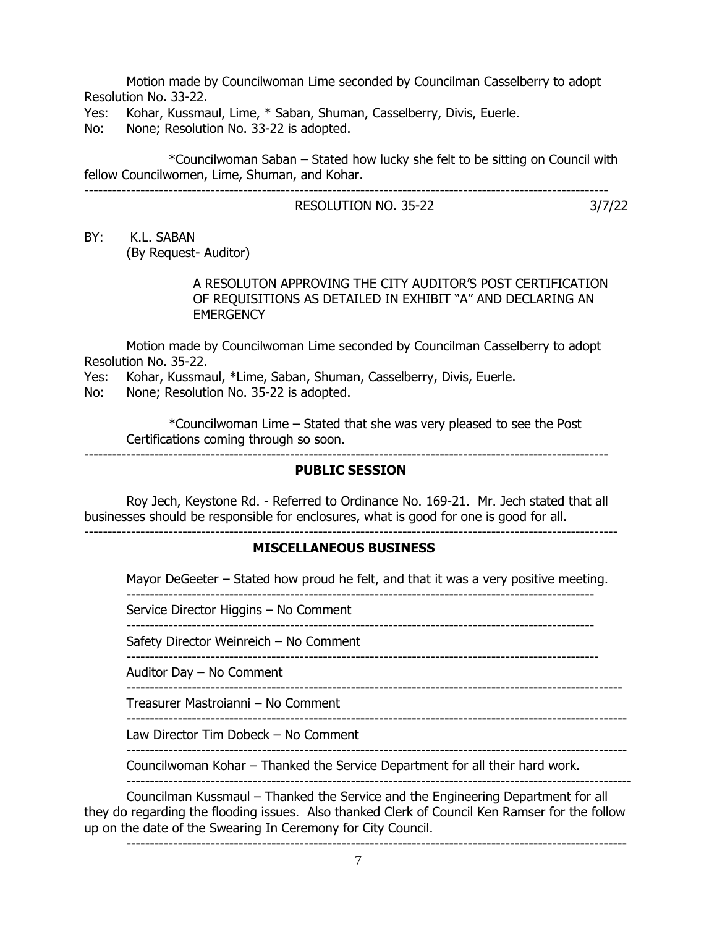Motion made by Councilwoman Lime seconded by Councilman Casselberry to adopt Resolution No. 33-22.

Yes: Kohar, Kussmaul, Lime, \* Saban, Shuman, Casselberry, Divis, Euerle.

No: None; Resolution No. 33-22 is adopted.

\*Councilwoman Saban – Stated how lucky she felt to be sitting on Council with fellow Councilwomen, Lime, Shuman, and Kohar. ----------------------------------------------------------------------------------------------------------------

# RESOLUTION NO. 35-22 3/7/22

BY: K.L. SABAN (By Request- Auditor)

# A RESOLUTON APPROVING THE CITY AUDITOR'S POST CERTIFICATION OF REQUISITIONS AS DETAILED IN EXHIBIT "A" AND DECLARING AN **EMERGENCY**

Motion made by Councilwoman Lime seconded by Councilman Casselberry to adopt Resolution No. 35-22.

Yes: Kohar, Kussmaul, \*Lime, Saban, Shuman, Casselberry, Divis, Euerle.

No: None; Resolution No. 35-22 is adopted.

\*Councilwoman Lime – Stated that she was very pleased to see the Post Certifications coming through so soon.

----------------------------------------------------------------------------------------------------------------

# **PUBLIC SESSION**

Roy Jech, Keystone Rd. - Referred to Ordinance No. 169-21. Mr. Jech stated that all businesses should be responsible for enclosures, what is good for one is good for all. ------------------------------------------------------------------------------------------------------------------

# **MISCELLANEOUS BUSINESS**

Mayor DeGeeter – Stated how proud he felt, and that it was a very positive meeting. ----------------------------------------------------------------------------------------------------

Service Director Higgins – No Comment

----------------------------------------------------------------------------------------------------

Safety Director Weinreich – No Comment

-----------------------------------------------------------------------------------------------------

Auditor Day – No Comment

----------------------------------------------------------------------------------------------------------

Treasurer Mastroianni – No Comment -----------------------------------------------------------------------------------------------------------

Law Director Tim Dobeck – No Comment

Councilwoman Kohar – Thanked the Service Department for all their hard work.

-----------------------------------------------------------------------------------------------------------

------------------------------------------------------------------------------------------------------------

Councilman Kussmaul – Thanked the Service and the Engineering Department for all they do regarding the flooding issues. Also thanked Clerk of Council Ken Ramser for the follow up on the date of the Swearing In Ceremony for City Council.

-----------------------------------------------------------------------------------------------------------